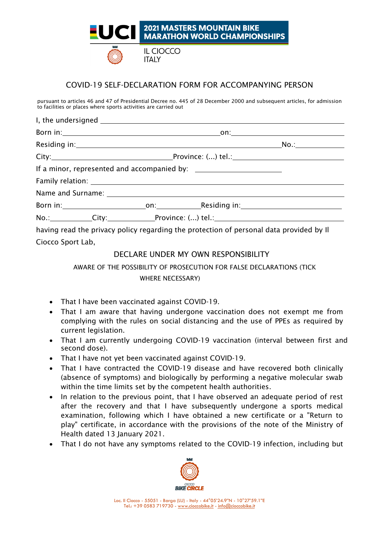

## COVID-19 SELF-DECLARATION FORM FOR ACCOMPANYING PERSON

pursuant to articles 46 and 47 of Presidential Decree no. 445 of 28 December 2000 and subsequent articles, for admission to facilities or places where sports activities are carried out

| The contraction of the contraction of the contraction of the contraction of the contraction of the contraction of the contraction of the contraction of the contraction of the contraction of the contraction of the contract |  |  |  |
|-------------------------------------------------------------------------------------------------------------------------------------------------------------------------------------------------------------------------------|--|--|--|

having read the privacy policy regarding the protection of personal data provided by Il Ciocco Sport Lab,

## DECLARE UNDER MY OWN RESPONSIBILITY

AWARE OF THE POSSIBILITY OF PROSECUTION FOR FALSE DECLARATIONS (TICK WHERE NECESSARY)

- That I have been vaccinated against COVID-19.
- That I am aware that having undergone vaccination does not exempt me from complying with the rules on social distancing and the use of PPEs as required by current legislation.
- That I am currently undergoing COVID-19 vaccination (interval between first and second dose).
- That I have not yet been vaccinated against COVID-19.
- That I have contracted the COVID-19 disease and have recovered both clinically (absence of symptoms) and biologically by performing a negative molecular swab within the time limits set by the competent health authorities.
- In relation to the previous point, that I have observed an adequate period of rest after the recovery and that I have subsequently undergone a sports medical examination, following which I have obtained a new certificate or a "Return to play" certificate, in accordance with the provisions of the note of the Ministry of Health dated 13 January 2021.
- That I do not have any symptoms related to the COVID-19 infection, including but